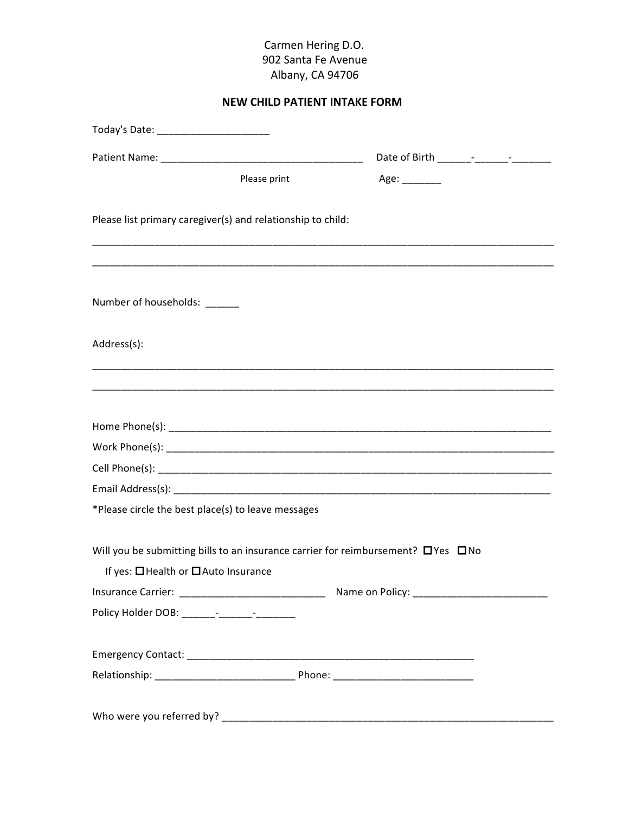## **NEW CHILD PATIENT INTAKE FORM**

| Today's Date: __________________________                                                     |              |                    |  |
|----------------------------------------------------------------------------------------------|--------------|--------------------|--|
|                                                                                              |              |                    |  |
|                                                                                              | Please print | Age: $\frac{1}{2}$ |  |
|                                                                                              |              |                    |  |
| Please list primary caregiver(s) and relationship to child:                                  |              |                    |  |
|                                                                                              |              |                    |  |
|                                                                                              |              |                    |  |
| Number of households: ______                                                                 |              |                    |  |
| Address(s):                                                                                  |              |                    |  |
|                                                                                              |              |                    |  |
|                                                                                              |              |                    |  |
|                                                                                              |              |                    |  |
|                                                                                              |              |                    |  |
|                                                                                              |              |                    |  |
|                                                                                              |              |                    |  |
| *Please circle the best place(s) to leave messages                                           |              |                    |  |
| Will you be submitting bills to an insurance carrier for reimbursement? $\Box$ Yes $\Box$ No |              |                    |  |
| If yes: □ Health or □ Auto Insurance                                                         |              |                    |  |
|                                                                                              |              |                    |  |
|                                                                                              |              |                    |  |
|                                                                                              |              |                    |  |
|                                                                                              |              |                    |  |
|                                                                                              |              |                    |  |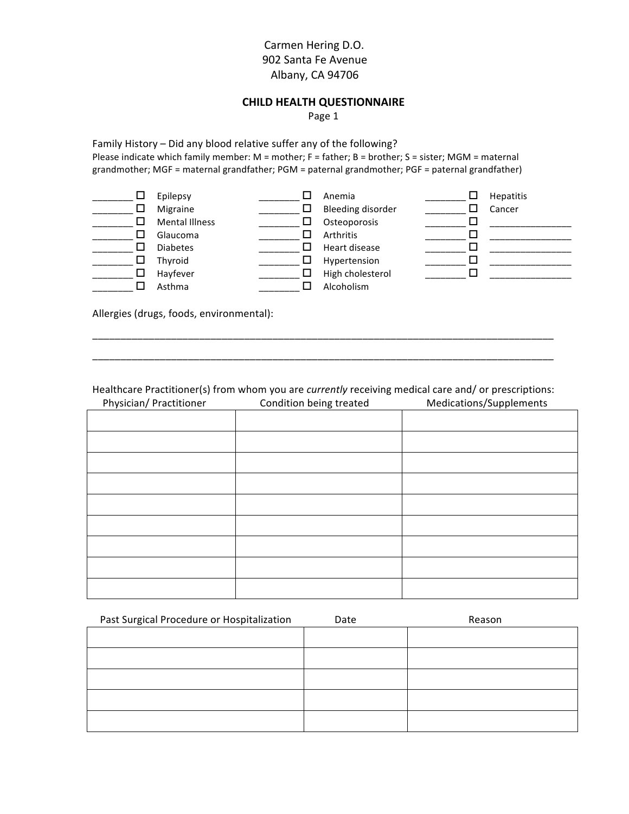## **Carmen Hering D.O.** '''''''''''''''''''''''''''''''''''''''''''''''''''''''''''''902'Santa'Fe'Avenue Albany, CA 94706

#### **CHILD HEALTH QUESTIONNAIRE**

Page 1

Family History – Did any blood relative suffer any of the following? Please indicate which family member: M = mother; F = father; B = brother; S = sister; MGM = maternal grandmother; MGF = maternal grandfather; PGM = paternal grandmother; PGF = paternal grandfather)

| ப  | Epilepsy<br>Migraine<br><b>Mental Illness</b> | Anemia<br>Bleeding disorder<br>Osteoporosis | <b>Hepatitis</b><br>Cancer |
|----|-----------------------------------------------|---------------------------------------------|----------------------------|
| ΙI | Glaucoma                                      | Arthritis                                   |                            |
|    | <b>Diabetes</b>                               | Heart disease                               |                            |
| ப  | Thyroid                                       | Hypertension                                |                            |
|    | Hayfever                                      | High cholesterol                            |                            |
|    | Asthma                                        | Alcoholism                                  |                            |

Allergies (drugs, foods, environmental):

Healthcare Practitioner(s) from whom you are *currently* receiving medical care and/ or prescriptions: Physician/ Practitioner Condition being treated Medications/Supplements

\_\_\_\_\_\_\_\_\_\_\_\_\_\_\_\_\_\_\_\_\_\_\_\_\_\_\_\_\_\_\_\_\_\_\_\_\_\_\_\_\_\_\_\_\_\_\_\_\_\_\_\_\_\_\_\_\_\_\_\_\_\_\_\_\_\_\_\_\_\_\_\_\_\_\_\_\_\_\_\_\_\_ \_\_\_\_\_\_\_\_\_\_\_\_\_\_\_\_\_\_\_\_\_\_\_\_\_\_\_\_\_\_\_\_\_\_\_\_\_\_\_\_\_\_\_\_\_\_\_\_\_\_\_\_\_\_\_\_\_\_\_\_\_\_\_\_\_\_\_\_\_\_\_\_\_\_\_\_\_\_\_\_\_\_

| Past Surgical Procedure or Hospitalization | Date | Reason |
|--------------------------------------------|------|--------|
|                                            |      |        |
|                                            |      |        |
|                                            |      |        |
|                                            |      |        |
|                                            |      |        |
|                                            |      |        |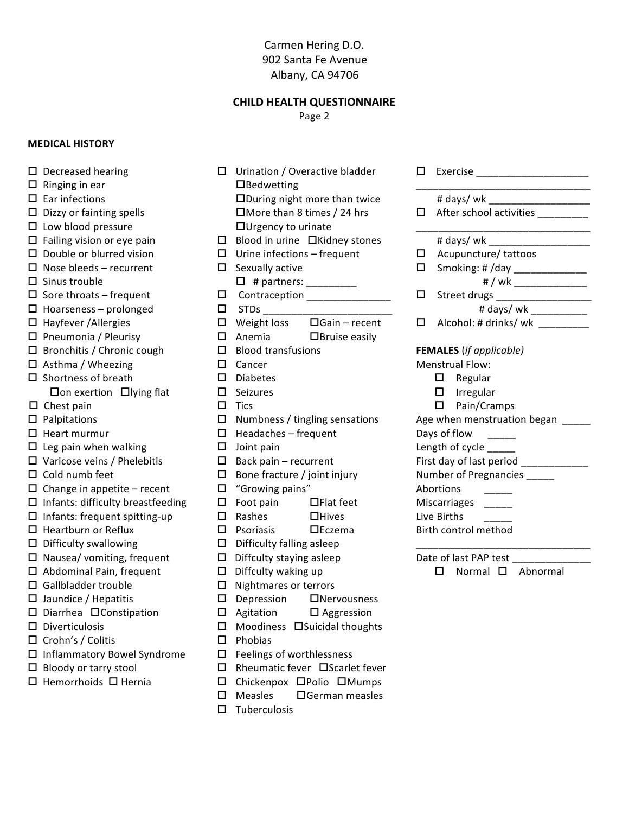#### **CHILD HEALTH QUESTIONNAIRE**

Page 2

#### **MEDICAL HISTORY**

 $\Box$  Ringing in ear

 $\square$  Ear infections

 $\Box$  Sinus trouble

 $\Box$  Decreased hearing

 $\square$  Low blood pressure

 $\Box$  Hayfever / Allergies

 $\square$  Shortness of breath

 $\Box$  Chest pain

 $\Box$  Palpitations

 $\Box$  Heart murmur

 $\Box$  Cold numb feet

- $\Box$  Bedwetting  $\Box$  Dizzy or fainting spells  $\Box$  Urgency to urinate  $\Box$  Failing vision or eye pain  $\square$  Double or blurred vision  $\Box$  Urine infections – frequent  $\square$  Sexually active  $\Box$  Nose bleeds – recurrent  $\Box$  Sore throats – frequent  $\Box$  Hoarseness - prolonged  $\Box$  Weight loss  $\Box$  Pneumonia / Pleurisy  $\Box$  Anemia  $\Box$  Bronchitis / Chronic cough  $\Box$  Blood transfusions  $\Box$  Asthma / Wheezing  $\Box$  Cancer  $\square$  Diabetes □ On exertion □ lying flat  $\Box$  Seizures  $\square$  Tics  $\Box$  Leg pain when walking  $\Box$  Joint pain  $\Box$  Varicose veins / Phelebitis  $\Box$  "Growing pains"  $\Box$  Change in appetite – recent  $\square$  Infants: difficulty breastfeeding  $\Box$  Foot pain  $\Box$  Infants: frequent spitting-up  $\Box$  Rashes  $\Box$  Psoriasis  $\Box$  Heartburn or Reflux  $\Box$  Difficulty swallowing  $\Box$  Nausea/ vomiting, frequent  $\Box$  Abdominal Pain, frequent  $\Box$  Diffculty waking up  $\Box$  Depression □ Diarrhea □ Constipation  $\Box$  Agitation  $\Box$  Phobias
- $\Box$  Inflammatory Bowel Syndrome
- $\Box$  Bloody or tarry stool

 $\Box$  Gallbladder trouble

 $\Box$  Jaundice / Hepatitis

 $\square$  Diverticulosis

 $\Box$  Crohn's / Colitis

 $\Box$  Hemorrhoids  $\Box$  Hernia

- $\Box$  Urination / Overactive bladder  $\Box$ During night more than twice # days/ wk  $\Box$  More than 8 times / 24 hrs  $\Box$  After school activities \_\_\_\_\_\_\_ # days/ wk  $\Box$  Blood in urine  $\Box$ Kidney stones  $\Box$  Acupuncture/ tattoos Smoking: # /day \_\_\_\_\_\_\_\_\_\_\_\_\_\_\_  $\Box$  $\Box$  # partners: \_\_\_\_\_\_\_\_\_\_ # / wk \_\_\_\_\_\_\_\_\_\_\_\_\_\_\_ D Contraception \_\_\_\_\_\_\_\_\_\_\_\_\_\_\_ Street drugs \_\_\_\_\_\_\_\_\_\_\_\_\_\_\_\_\_\_\_\_\_\_  $\Box$ # days/ wk \_\_\_\_\_\_\_\_\_\_  $\Box$  Alcohol: # drinks/ wk \_\_\_\_\_\_\_\_ **FEMALES** (if applicable) **Menstrual Flow:**  $\Box$  Regular  $\Box$  Irregular  $\square$  Pain/Cramps Age when menstruation began \_\_\_\_\_ Days of flow Length of cycle \_\_\_\_\_ First day of last period \_\_\_\_\_\_\_\_\_\_\_\_ Number of Pregnancies \_\_\_\_\_ Abortions Miscarriages Live Births Birth control method Date of last PAP test  $\square$  Normal  $\square$  Abnormal
- $\Box$ Gain recent  $\Box$  Bruise easily  $\Box$  Numbness / tingling sensations  $\Box$  Headaches - frequent  $\Box$  Back pain – recurrent  $\Box$  Bone fracture / joint injury  $\Box$ Flat feet  $\Box$ Hives  $\square$ Eczema  $\Box$  Difficulty falling asleep  $\Box$  Diffculty staying asleep  $\Box$  Nightmares or terrors **INervousness**  $\Box$  Aggression □ Moodiness □ Suicidal thoughts
- $\Box$  Feelings of worthlessness
- $\Box$  Rheumatic fever  $\Box$  Scarlet fever
- $\Box$  Chickenpox  $\Box$ Polio  $\Box$ Mumps
- $\Box$  Measles □German measles
- $\Box$  Tuberculosis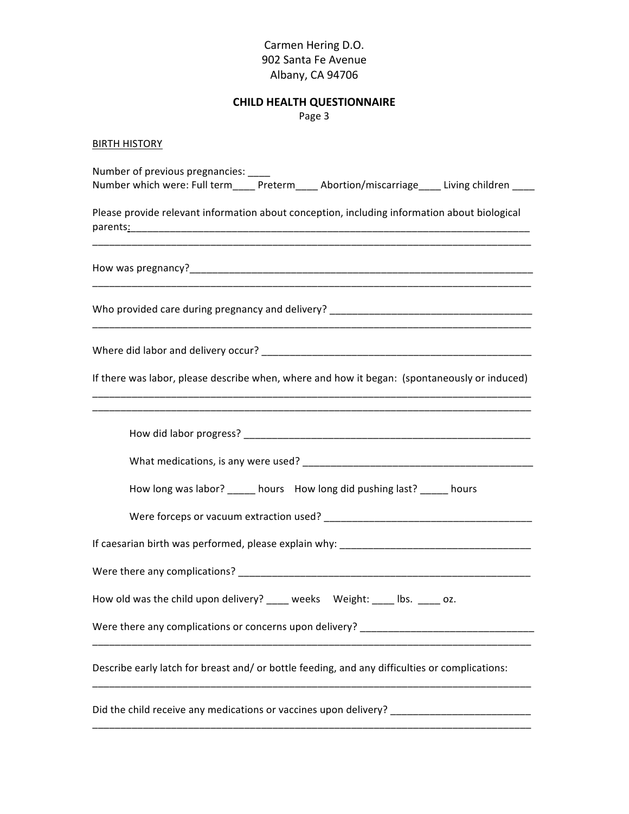# **CHILD HEALTH QUESTIONNAIRE**

Page 3

# **BIRTH HISTORY**

| Number of previous pregnancies:                                                                |
|------------------------------------------------------------------------------------------------|
| Number which were: Full term____ Preterm____ Abortion/miscarriage____ Living children ____     |
| Please provide relevant information about conception, including information about biological   |
|                                                                                                |
|                                                                                                |
|                                                                                                |
| If there was labor, please describe when, where and how it began: (spontaneously or induced)   |
|                                                                                                |
|                                                                                                |
| How long was labor? _____ hours How long did pushing last? _____ hours                         |
|                                                                                                |
|                                                                                                |
|                                                                                                |
| How old was the child upon delivery? ____ weeks Weight: ____ lbs. ____ oz.                     |
| Were there any complications or concerns upon delivery? _________________________              |
| Describe early latch for breast and/ or bottle feeding, and any difficulties or complications: |
| Did the child receive any medications or vaccines upon delivery?                               |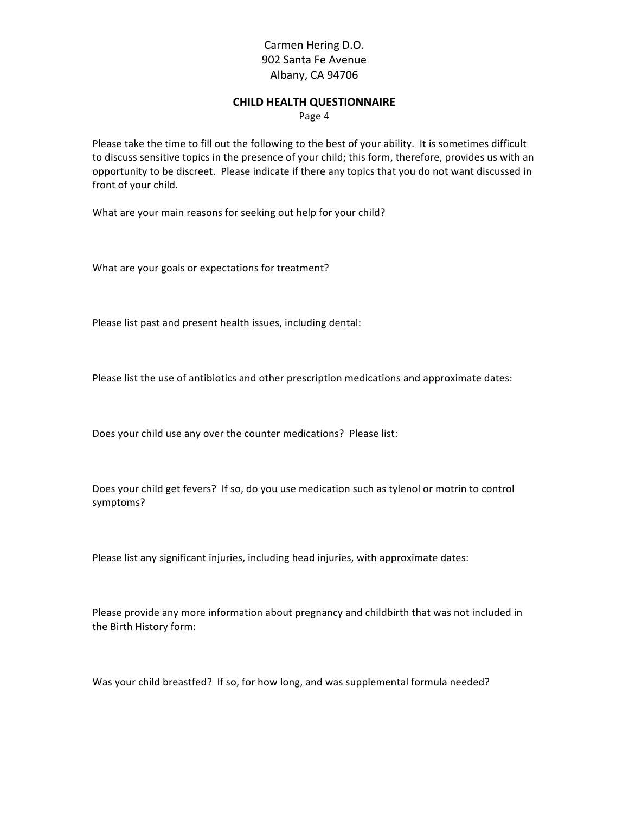#### **CHILD HEALTH QUESTIONNAIRE**

Page 4

Please take the time to fill out the following to the best of your ability. It is sometimes difficult to discuss sensitive topics in the presence of your child; this form, therefore, provides us with an opportunity to be discreet. Please indicate if there any topics that you do not want discussed in front of your child.

What are your main reasons for seeking out help for your child?

What are your goals or expectations for treatment?

Please list past and present health issues, including dental:

Please list the use of antibiotics and other prescription medications and approximate dates:

Does your child use any over the counter medications? Please list:

Does your child get fevers? If so, do you use medication such as tylenol or motrin to control symptoms?

Please list any significant injuries, including head injuries, with approximate dates:

Please provide any more information about pregnancy and childbirth that was not included in the Birth History form:

Was your child breastfed? If so, for how long, and was supplemental formula needed?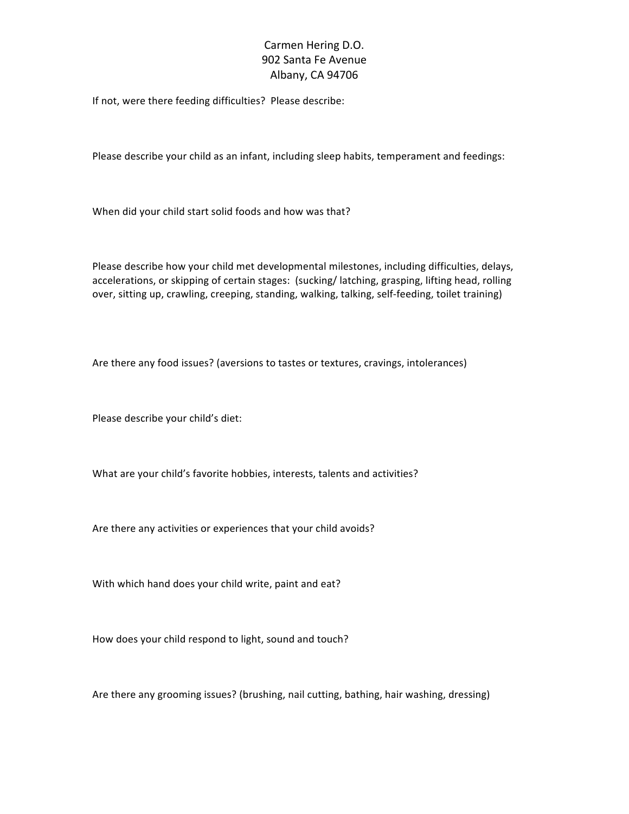If not, were there feeding difficulties? Please describe:

Please describe your child as an infant, including sleep habits, temperament and feedings:

When did your child start solid foods and how was that?

Please describe how your child met developmental milestones, including difficulties, delays, accelerations, or skipping of certain stages: (sucking/latching, grasping, lifting head, rolling over, sitting up, crawling, creeping, standing, walking, talking, self-feeding, toilet training)

Are there any food issues? (aversions to tastes or textures, cravings, intolerances)

Please describe your child's diet:

What are your child's favorite hobbies, interests, talents and activities?

Are there any activities or experiences that your child avoids?

With which hand does your child write, paint and eat?

How does your child respond to light, sound and touch?

Are there any grooming issues? (brushing, nail cutting, bathing, hair washing, dressing)